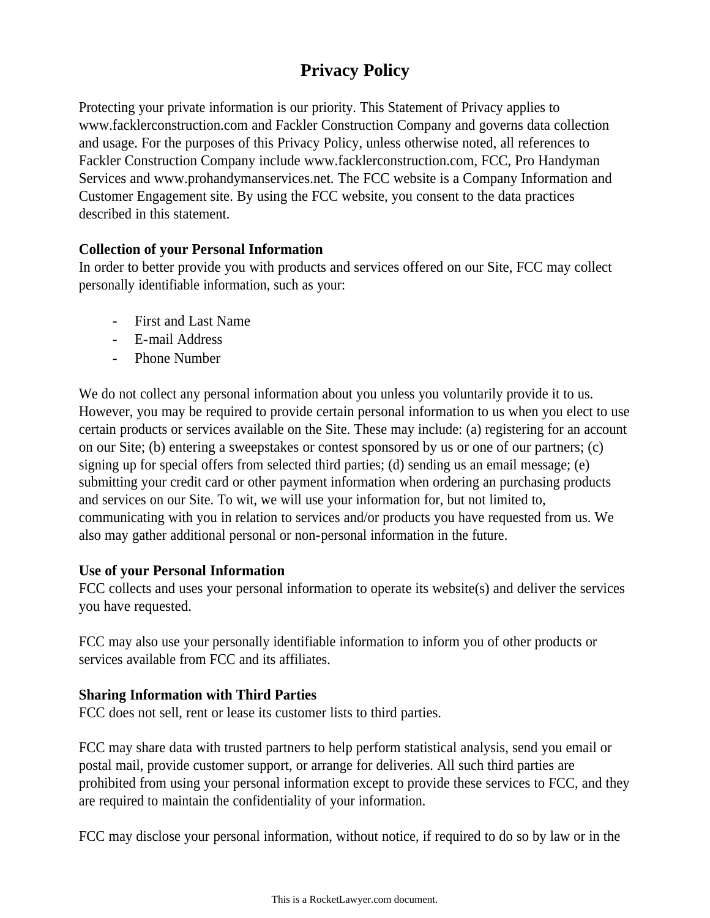# **Privacy Policy**

Protecting your private information is our priority. This Statement of Privacy applies to www.facklerconstruction.com and Fackler Construction Company and governs data collection and usage. For the purposes of this Privacy Policy, unless otherwise noted, all references to Fackler Construction Company include www.facklerconstruction.com, FCC, Pro Handyman Services and www.prohandymanservices.net. The FCC website is a Company Information and Customer Engagement site. By using the FCC website, you consent to the data practices described in this statement.

## **Collection of your Personal Information**

In order to better provide you with products and services offered on our Site, FCC may collect personally identifiable information, such as your:

- First and Last Name
- E-mail Address
- Phone Number

We do not collect any personal information about you unless you voluntarily provide it to us. However, you may be required to provide certain personal information to us when you elect to use certain products or services available on the Site. These may include: (a) registering for an account on our Site; (b) entering a sweepstakes or contest sponsored by us or one of our partners; (c) signing up for special offers from selected third parties; (d) sending us an email message; (e) submitting your credit card or other payment information when ordering an purchasing products and services on our Site. To wit, we will use your information for, but not limited to, communicating with you in relation to services and/or products you have requested from us. We also may gather additional personal or non-personal information in the future.

### **Use of your Personal Information**

FCC collects and uses your personal information to operate its website(s) and deliver the services you have requested.

FCC may also use your personally identifiable information to inform you of other products or services available from FCC and its affiliates.

## **Sharing Information with Third Parties**

FCC does not sell, rent or lease its customer lists to third parties.

FCC may share data with trusted partners to help perform statistical analysis, send you email or postal mail, provide customer support, or arrange for deliveries. All such third parties are prohibited from using your personal information except to provide these services to FCC, and they are required to maintain the confidentiality of your information.

FCC may disclose your personal information, without notice, if required to do so by law or in the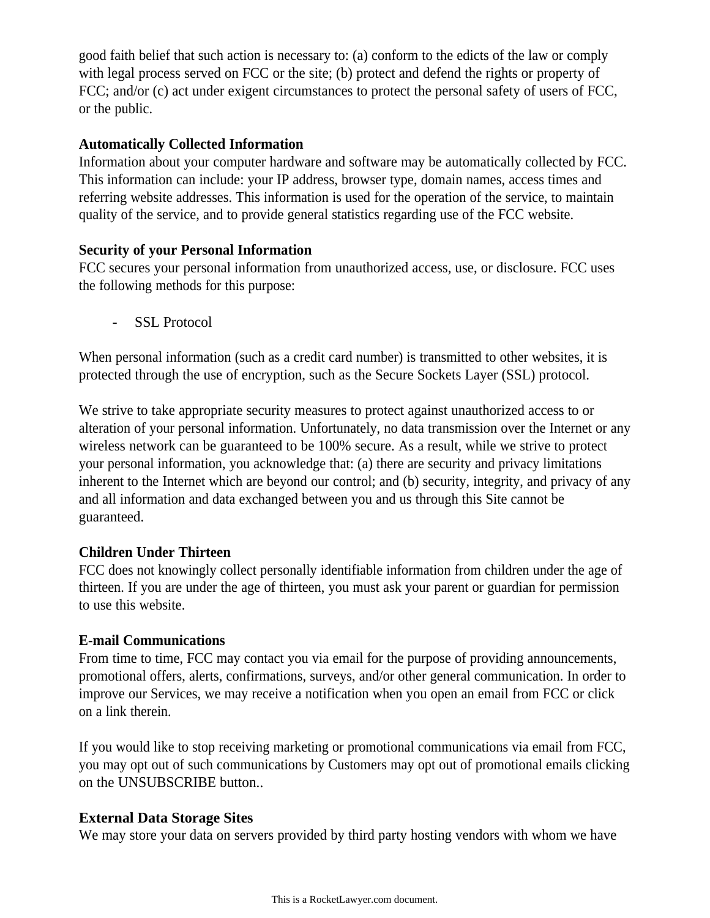good faith belief that such action is necessary to: (a) conform to the edicts of the law or comply with legal process served on FCC or the site; (b) protect and defend the rights or property of FCC; and/or (c) act under exigent circumstances to protect the personal safety of users of FCC, or the public.

#### **Automatically Collected Information**

Information about your computer hardware and software may be automatically collected by FCC. This information can include: your IP address, browser type, domain names, access times and referring website addresses. This information is used for the operation of the service, to maintain quality of the service, and to provide general statistics regarding use of the FCC website.

### **Security of your Personal Information**

FCC secures your personal information from unauthorized access, use, or disclosure. FCC uses the following methods for this purpose:

SSL Protocol

When personal information (such as a credit card number) is transmitted to other websites, it is protected through the use of encryption, such as the Secure Sockets Layer (SSL) protocol.

We strive to take appropriate security measures to protect against unauthorized access to or alteration of your personal information. Unfortunately, no data transmission over the Internet or any wireless network can be guaranteed to be 100% secure. As a result, while we strive to protect your personal information, you acknowledge that: (a) there are security and privacy limitations inherent to the Internet which are beyond our control; and (b) security, integrity, and privacy of any and all information and data exchanged between you and us through this Site cannot be guaranteed.

### **Children Under Thirteen**

FCC does not knowingly collect personally identifiable information from children under the age of thirteen. If you are under the age of thirteen, you must ask your parent or guardian for permission to use this website.

### **E-mail Communications**

From time to time, FCC may contact you via email for the purpose of providing announcements, promotional offers, alerts, confirmations, surveys, and/or other general communication. In order to improve our Services, we may receive a notification when you open an email from FCC or click on a link therein.

If you would like to stop receiving marketing or promotional communications via email from FCC, you may opt out of such communications by Customers may opt out of promotional emails clicking on the UNSUBSCRIBE button..

### **External Data Storage Sites**

We may store your data on servers provided by third party hosting vendors with whom we have